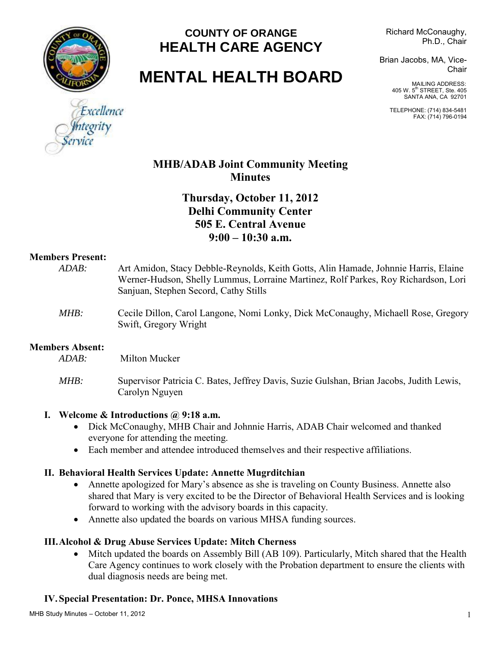

### **COUNTY OF ORANGE HEALTH CARE AGENCY**

Richard McConaughy, Ph.D., Chair

# **MENTAL HEALTH BOARD**

Brian Jacobs, MA, Vice-Chair

> MAILING ADDRESS: 405 W. 5<sup>th</sup> STREET, Ste. 405 SANTA ANA, CA 92701

TELEPHONE: (714) 834-5481 FAX: (714) 796-0194

# Excellence

#### **MHB/ADAB Joint Community Meeting Minutes**

#### **Thursday, October 11, 2012 Delhi Community Center 505 E. Central Avenue 9:00 – 10:30 a.m.**

#### **Members Present:**

| $ADAB$ :                                         | Art Amidon, Stacy Debble-Reynolds, Keith Gotts, Alin Hamade, Johnnie Harris, Elaine<br>Werner-Hudson, Shelly Lummus, Lorraine Martinez, Rolf Parkes, Roy Richardson, Lori<br>Sanjuan, Stephen Secord, Cathy Stills |
|--------------------------------------------------|--------------------------------------------------------------------------------------------------------------------------------------------------------------------------------------------------------------------|
| MHB:                                             | Cecile Dillon, Carol Langone, Nomi Lonky, Dick McConaughy, Michaell Rose, Gregory<br>Swift, Gregory Wright                                                                                                         |
| <b>Members Absent:</b>                           |                                                                                                                                                                                                                    |
| ADAB:                                            | Milton Mucker                                                                                                                                                                                                      |
| MHB:                                             | Supervisor Patricia C. Bates, Jeffrey Davis, Suzie Gulshan, Brian Jacobs, Judith Lewis,<br>Carolyn Nguyen                                                                                                          |
| Welcome & Introductions $\omega$ 9:18 a.m.<br>I. |                                                                                                                                                                                                                    |

## Dick McConaughy, MHB Chair and Johnnie Harris, ADAB Chair welcomed and thanked

- everyone for attending the meeting.
- Each member and attendee introduced themselves and their respective affiliations.

#### **II. Behavioral Health Services Update: Annette Mugrditchian**

- Annette apologized for Mary's absence as she is traveling on County Business. Annette also shared that Mary is very excited to be the Director of Behavioral Health Services and is looking forward to working with the advisory boards in this capacity.
- Annette also updated the boards on various MHSA funding sources.

#### **III.Alcohol & Drug Abuse Services Update: Mitch Cherness**

• Mitch updated the boards on Assembly Bill (AB 109). Particularly, Mitch shared that the Health Care Agency continues to work closely with the Probation department to ensure the clients with dual diagnosis needs are being met.

#### **IV. Special Presentation: Dr. Ponce, MHSA Innovations**